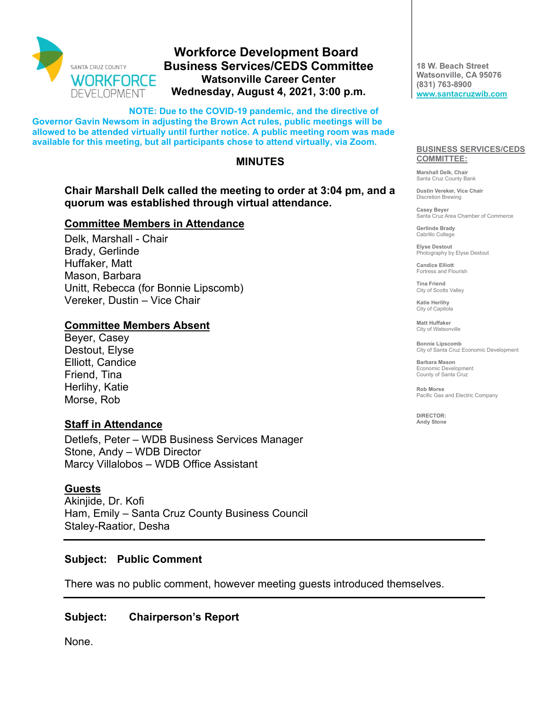

# **Workforce Development Board Business Services/CEDS Committee Watsonville Career Center Wednesday, August 4, 2021, 3:00 p.m.**

**NOTE: Due to the COVID-19 pandemic, and the directive of Governor Gavin Newsom in adjusting the Brown Act rules, public meetings will be allowed to be attended virtually until further notice. A public meeting room was made available for this meeting, but all participants chose to attend virtually, via Zoom.** 

### **MINUTES**

### **Chair Marshall Delk called the meeting to order at 3:04 pm, and a quorum was established through virtual attendance.**

#### **Committee Members in Attendance**

Delk, Marshall - Chair Brady, Gerlinde Huffaker, Matt Mason, Barbara Unitt, Rebecca (for Bonnie Lipscomb) Vereker, Dustin – Vice Chair

### **Committee Members Absent**

Beyer, Casey Destout, Elyse Elliott, Candice Friend, Tina Herlihy, Katie Morse, Rob

### **Staff in Attendance**

Detlefs, Peter – WDB Business Services Manager Stone, Andy – WDB Director Marcy Villalobos – WDB Office Assistant

#### **Guests**

Akinjide, Dr. Kofi Ham, Emily – Santa Cruz County Business Council Staley-Raatior, Desha

#### **Subject: Public Comment**

There was no public comment, however meeting guests introduced themselves.

#### **Subject: Chairperson's Report**

None.

**18 W. Beach Street Watsonville, CA 95076 (831) 763-8900 [www.santacruzwib.com](http://www.santacruzwib.com/)**

#### **BUSINESS SERVICES/CEDS COMMITTEE:**

**Marshall Delk, Chair** Santa Cruz County Bank

**Dustin Vereker, Vice Chair** Discretion Brewing

**Casey Beyer** Santa Cruz Area Chamber of Commerce

**Gerlinde Brady** Cabrillo College

**Elyse Destout** Photography by Elyse Destout

**Candice Elliott** Fortress and Flourish

**Tina Friend** City of Scotts Valley

**Katie Herlihy** City of Capitola

**Matt Huffaker** City of Watsonville

**Bonnie Lipscomb** City of Santa Cruz Economic Development

**Barbara Mason** Economic Development County of Santa Cruz

**Rob Morse** Pacific Gas and Electric Company

**DIRECTOR: Andy Stone**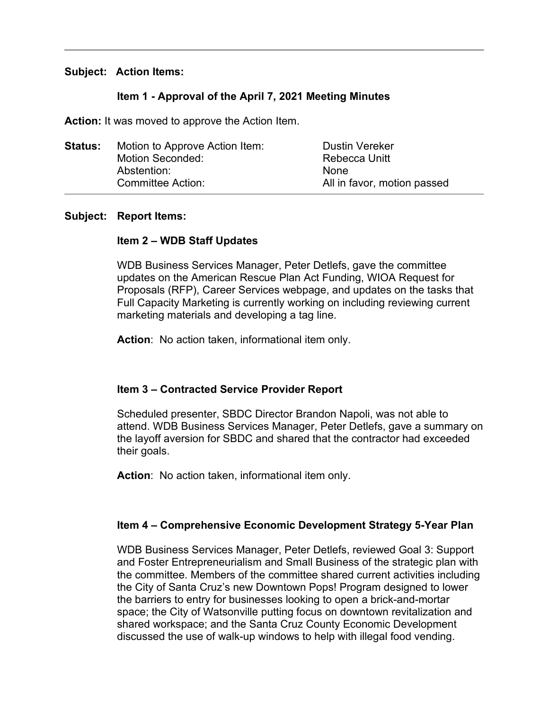#### **Subject: Action Items:**

### **Item 1 - Approval of the April 7, 2021 Meeting Minutes**

**Action:** It was moved to approve the Action Item.

| <b>Status:</b> | Motion to Approve Action Item: | <b>Dustin Vereker</b>       |
|----------------|--------------------------------|-----------------------------|
|                | Motion Seconded:               | Rebecca Unitt               |
|                | Abstention:                    | <b>None</b>                 |
|                | Committee Action:              | All in favor, motion passed |

#### **Subject: Report Items:**

### **Item 2 – WDB Staff Updates**

WDB Business Services Manager, Peter Detlefs, gave the committee updates on the American Rescue Plan Act Funding, WIOA Request for Proposals (RFP), Career Services webpage, and updates on the tasks that Full Capacity Marketing is currently working on including reviewing current marketing materials and developing a tag line.

**Action**: No action taken, informational item only.

#### **Item 3 – Contracted Service Provider Report**

Scheduled presenter, SBDC Director Brandon Napoli, was not able to attend. WDB Business Services Manager, Peter Detlefs, gave a summary on the layoff aversion for SBDC and shared that the contractor had exceeded their goals.

**Action**: No action taken, informational item only.

#### **Item 4 – Comprehensive Economic Development Strategy 5-Year Plan**

WDB Business Services Manager, Peter Detlefs, reviewed Goal 3: Support and Foster Entrepreneurialism and Small Business of the strategic plan with the committee. Members of the committee shared current activities including the City of Santa Cruz's new Downtown Pops! Program designed to lower the barriers to entry for businesses looking to open a brick-and-mortar space; the City of Watsonville putting focus on downtown revitalization and shared workspace; and the Santa Cruz County Economic Development discussed the use of walk-up windows to help with illegal food vending.